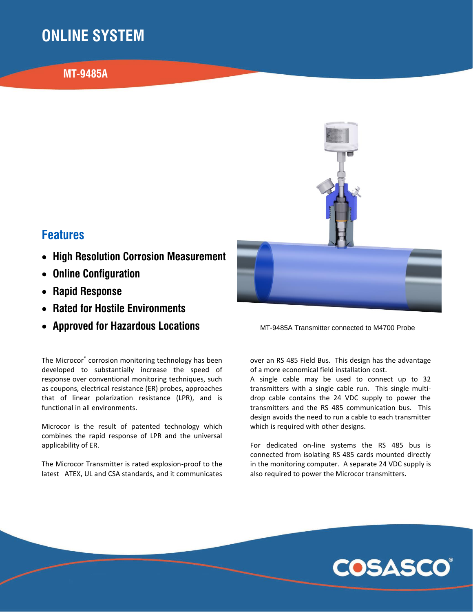# **ONLINE SYSTEM**

### **MT-9485A**



### **Features**

- **High Resolution Corrosion Measurement**
- **Online Configuration**
- **Rapid Response**
- **Rated for Hostile Environments**
- **Approved for Hazardous Locations**

The Microcor® corrosion monitoring technology has been developed to substantially increase the speed of response over conventional monitoring techniques, such as coupons, electrical resistance (ER) probes, approaches that of linear polarization resistance (LPR), and is functional in all environments.

Microcor is the result of patented technology which combines the rapid response of LPR and the universal applicability of ER.

The Microcor Transmitter is rated explosion-proof to the latest ATEX, UL and CSA standards, and it communicates MT-9485A Transmitter connected to M4700 Probe

over an RS 485 Field Bus. This design has the advantage of a more economical field installation cost.

A single cable may be used to connect up to 32 transmitters with a single cable run. This single multidrop cable contains the 24 VDC supply to power the transmitters and the RS 485 communication bus. This design avoids the need to run a cable to each transmitter which is required with other designs.

For dedicated on-line systems the RS 485 bus is connected from isolating RS 485 cards mounted directly in the monitoring computer. A separate 24 VDC supply is also required to power the Microcor transmitters.